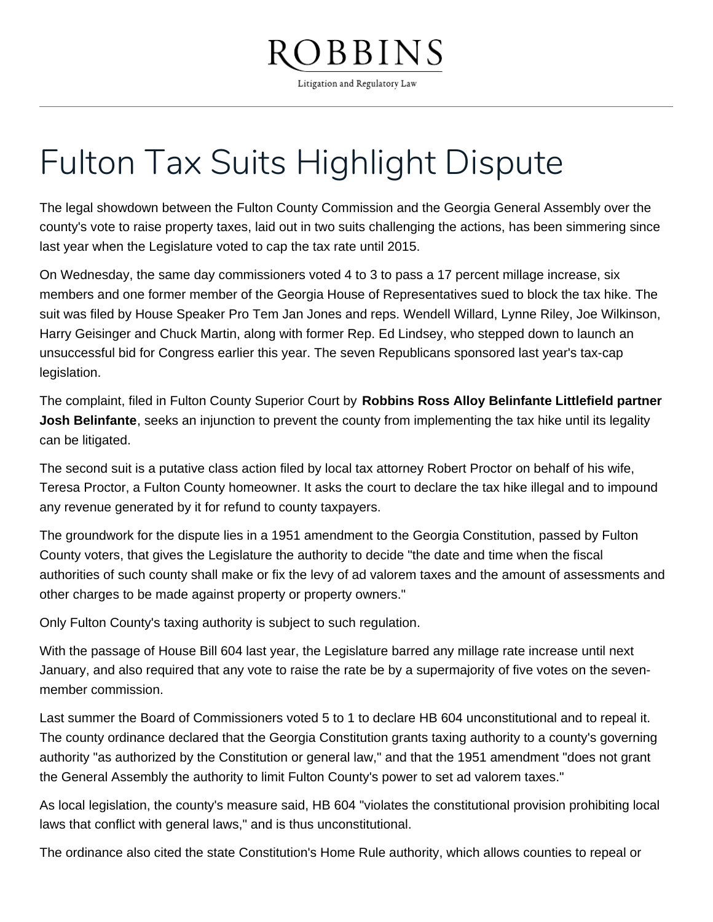## BBINS

Litigation and Regulatory Law

## Fulton Tax Suits Highlight Dispute

The legal showdown between the Fulton County Commission and the Georgia General Assembly over the county's vote to raise property taxes, laid out in two suits challenging the actions, has been simmering since last year when the Legislature voted to cap the tax rate until 2015.

On Wednesday, the same day commissioners voted 4 to 3 to pass a 17 percent millage increase, six members and one former member of the Georgia House of Representatives sued to block the tax hike. The suit was filed by House Speaker Pro Tem Jan Jones and reps. Wendell Willard, Lynne Riley, Joe Wilkinson, Harry Geisinger and Chuck Martin, along with former Rep. Ed Lindsey, who stepped down to launch an unsuccessful bid for Congress earlier this year. The seven Republicans sponsored last year's tax-cap legislation.

The complaint, filed in Fulton County Superior Court by **Robbins Ross Alloy Belinfante Littlefield partner Josh Belinfante**, seeks an injunction to prevent the county from implementing the tax hike until its legality can be litigated.

The second suit is a putative class action filed by local tax attorney Robert Proctor on behalf of his wife, Teresa Proctor, a Fulton County homeowner. It asks the court to declare the tax hike illegal and to impound any revenue generated by it for refund to county taxpayers.

The groundwork for the dispute lies in a 1951 amendment to the Georgia Constitution, passed by Fulton County voters, that gives the Legislature the authority to decide "the date and time when the fiscal authorities of such county shall make or fix the levy of ad valorem taxes and the amount of assessments and other charges to be made against property or property owners."

Only Fulton County's taxing authority is subject to such regulation.

With the passage of House Bill 604 last year, the Legislature barred any millage rate increase until next January, and also required that any vote to raise the rate be by a supermajority of five votes on the sevenmember commission.

Last summer the Board of Commissioners voted 5 to 1 to declare HB 604 unconstitutional and to repeal it. The county ordinance declared that the Georgia Constitution grants taxing authority to a county's governing authority "as authorized by the Constitution or general law," and that the 1951 amendment "does not grant the General Assembly the authority to limit Fulton County's power to set ad valorem taxes."

As local legislation, the county's measure said, HB 604 "violates the constitutional provision prohibiting local laws that conflict with general laws," and is thus unconstitutional.

The ordinance also cited the state Constitution's Home Rule authority, which allows counties to repeal or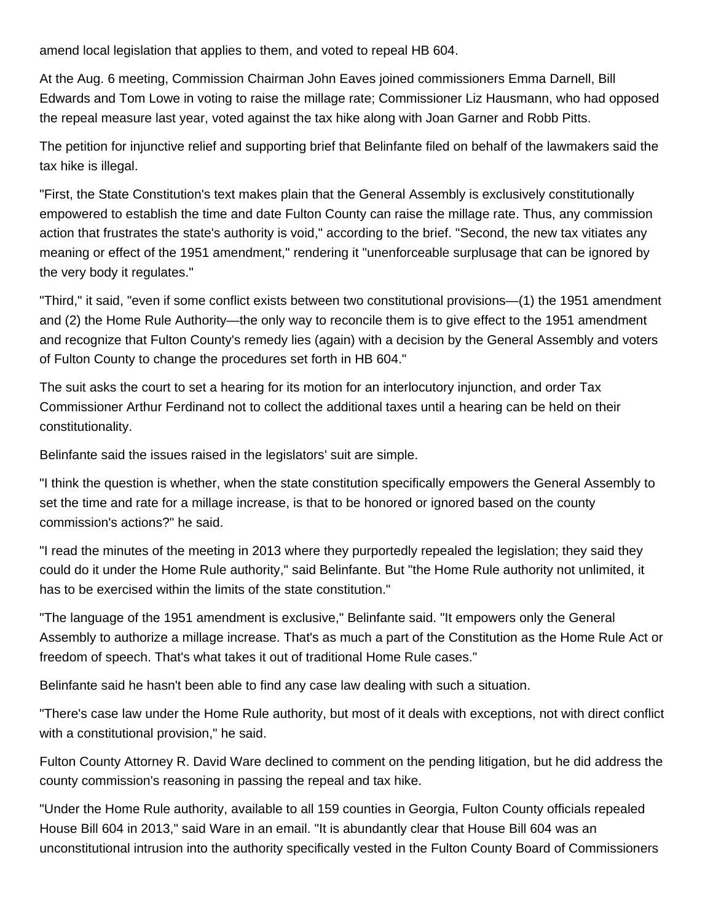amend local legislation that applies to them, and voted to repeal HB 604.

At the Aug. 6 meeting, Commission Chairman John Eaves joined commissioners Emma Darnell, Bill Edwards and Tom Lowe in voting to raise the millage rate; Commissioner Liz Hausmann, who had opposed the repeal measure last year, voted against the tax hike along with Joan Garner and Robb Pitts.

The petition for injunctive relief and supporting brief that Belinfante filed on behalf of the lawmakers said the tax hike is illegal.

"First, the State Constitution's text makes plain that the General Assembly is exclusively constitutionally empowered to establish the time and date Fulton County can raise the millage rate. Thus, any commission action that frustrates the state's authority is void," according to the brief. "Second, the new tax vitiates any meaning or effect of the 1951 amendment," rendering it "unenforceable surplusage that can be ignored by the very body it regulates."

"Third," it said, "even if some conflict exists between two constitutional provisions—(1) the 1951 amendment and (2) the Home Rule Authority—the only way to reconcile them is to give effect to the 1951 amendment and recognize that Fulton County's remedy lies (again) with a decision by the General Assembly and voters of Fulton County to change the procedures set forth in HB 604."

The suit asks the court to set a hearing for its motion for an interlocutory injunction, and order Tax Commissioner Arthur Ferdinand not to collect the additional taxes until a hearing can be held on their constitutionality.

Belinfante said the issues raised in the legislators' suit are simple.

"I think the question is whether, when the state constitution specifically empowers the General Assembly to set the time and rate for a millage increase, is that to be honored or ignored based on the county commission's actions?" he said.

"I read the minutes of the meeting in 2013 where they purportedly repealed the legislation; they said they could do it under the Home Rule authority," said Belinfante. But "the Home Rule authority not unlimited, it has to be exercised within the limits of the state constitution."

"The language of the 1951 amendment is exclusive," Belinfante said. "It empowers only the General Assembly to authorize a millage increase. That's as much a part of the Constitution as the Home Rule Act or freedom of speech. That's what takes it out of traditional Home Rule cases."

Belinfante said he hasn't been able to find any case law dealing with such a situation.

"There's case law under the Home Rule authority, but most of it deals with exceptions, not with direct conflict with a constitutional provision," he said.

Fulton County Attorney R. David Ware declined to comment on the pending litigation, but he did address the county commission's reasoning in passing the repeal and tax hike.

"Under the Home Rule authority, available to all 159 counties in Georgia, Fulton County officials repealed House Bill 604 in 2013," said Ware in an email. "It is abundantly clear that House Bill 604 was an unconstitutional intrusion into the authority specifically vested in the Fulton County Board of Commissioners